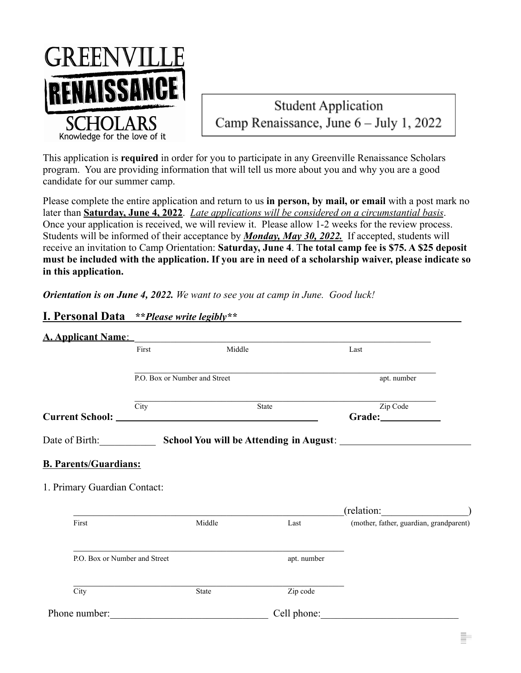

# **Student Application** Camp Renaissance, June 6 – July 1, 2022

This application is **required** in order for you to participate in any Greenville Renaissance Scholars program. You are providing information that will tell us more about you and why you are a good candidate for our summer camp.

Please complete the entire application and return to us **in person, by mail, or email** with a post mark no later than **Saturday, June 4, 2022**. *Late applications will be considered on a circumstantial basis*. Once your application is received, we will review it. Please allow 1-2 weeks for the review process. Students will be informed of their acceptance by *Monday, May 30, 2022.* If accepted, students will receive an invitation to Camp Orientation: **Saturday, June 4**. T**he total camp fee is \$75. A \$25 deposit must be included with the application. If you are in need of a scholarship waiver, please indicate so in this application.**

*Orientation is on June 4, 2022. We want to see you at camp in June. Good luck!*

| I. Personal Data **Please write legibly** |
|-------------------------------------------|
|                                           |

| <u>A. Applicant Name:</u>                                    |      |                               |              |                                                                                  |
|--------------------------------------------------------------|------|-------------------------------|--------------|----------------------------------------------------------------------------------|
| First                                                        |      | Middle                        |              | Last                                                                             |
|                                                              |      | P.O. Box or Number and Street |              | apt. number                                                                      |
|                                                              | City |                               | <b>State</b> | Zip Code<br>Grade:_____________                                                  |
|                                                              |      |                               |              | Date of Birth: School You will be Attending in August: _________________________ |
| <b>B. Parents/Guardians:</b><br>1. Primary Guardian Contact: |      |                               |              | (relation:                                                                       |
| First                                                        |      | Middle                        | Last         | (mother, father, guardian, grandparent)                                          |
| P.O. Box or Number and Street                                |      |                               | apt. number  |                                                                                  |
| City                                                         |      | State                         | Zip code     |                                                                                  |
| Phone number:                                                |      |                               | Cell phone:  |                                                                                  |

Ē.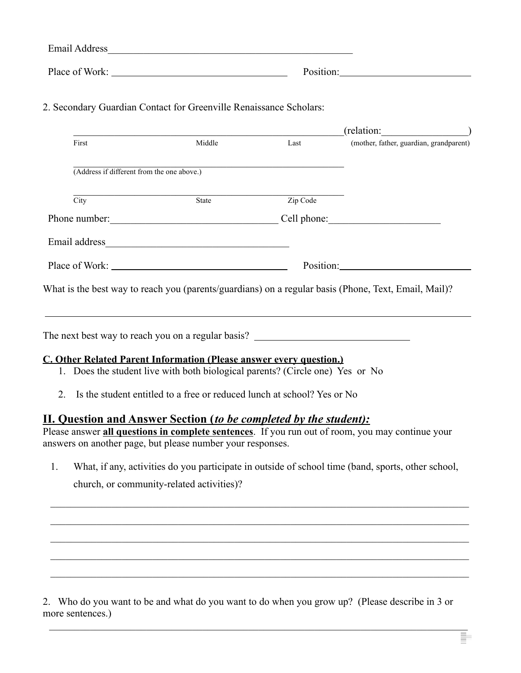| <b>Email Address</b> |           |
|----------------------|-----------|
| Place of Work:       | Position: |

2. Secondary Guardian Contact for Greenville Renaissance Scholars:

|                                                                            |                                                                               |          | $(\text{relation:})$                                                                                 |
|----------------------------------------------------------------------------|-------------------------------------------------------------------------------|----------|------------------------------------------------------------------------------------------------------|
| First                                                                      | Middle                                                                        |          | Last (mother, father, guardian, grandparent)                                                         |
| (Address if different from the one above.)                                 |                                                                               |          |                                                                                                      |
| City                                                                       | State                                                                         | Zip Code |                                                                                                      |
| Phone number: Cell phone: Cell phone:                                      |                                                                               |          |                                                                                                      |
|                                                                            |                                                                               |          |                                                                                                      |
| Place of Work:                                                             |                                                                               |          | Position:                                                                                            |
|                                                                            |                                                                               |          | What is the best way to reach you (parents/guardians) on a regular basis (Phone, Text, Email, Mail)? |
| The next best way to reach you on a regular basis?                         |                                                                               |          |                                                                                                      |
| <b>C. Other Related Parent Information (Please answer every question.)</b> |                                                                               |          |                                                                                                      |
|                                                                            | 1. Does the student live with both biological parents? (Circle one) Yes or No |          |                                                                                                      |
| 2.                                                                         | Is the student entitled to a free or reduced lunch at school? Yes or No       |          |                                                                                                      |
|                                                                            | $\mathbf{u}$ , and the contract of the contract of $\mathbf{u}$               |          |                                                                                                      |

## **II. Question and Answer Section (***to be completed by the student):*

Please answer **all questions in complete sentences**. If you run out of room, you may continue your answers on another page, but please number your responses.

1. What, if any, activities do you participate in outside of school time (band, sports, other school, church, or community-related activities)?

 $\_$  , and the contribution of the contribution of the contribution of the contribution of  $\mathcal{L}_\text{max}$ 

 $\mathcal{L}_\mathcal{L} = \{ \mathcal{L}_\mathcal{L} = \{ \mathcal{L}_\mathcal{L} = \{ \mathcal{L}_\mathcal{L} = \{ \mathcal{L}_\mathcal{L} = \{ \mathcal{L}_\mathcal{L} = \{ \mathcal{L}_\mathcal{L} = \{ \mathcal{L}_\mathcal{L} = \{ \mathcal{L}_\mathcal{L} = \{ \mathcal{L}_\mathcal{L} = \{ \mathcal{L}_\mathcal{L} = \{ \mathcal{L}_\mathcal{L} = \{ \mathcal{L}_\mathcal{L} = \{ \mathcal{L}_\mathcal{L} = \{ \mathcal{L}_\mathcal{$ 

 $\_$  , and the contribution of the contribution of the contribution of the contribution of  $\mathcal{L}_\text{max}$ 

 $\_$  , and the contribution of the contribution of the contribution of the contribution of  $\mathcal{L}_\text{max}$ 

 $\_$  , and the contribution of the contribution of the contribution of the contribution of  $\mathcal{L}_\text{max}$ 

 $\_$  , and the contribution of the contribution of the contribution of the contribution of  $\mathcal{L}_\text{max}$ 

2. Who do you want to be and what do you want to do when you grow up? (Please describe in 3 or more sentences.)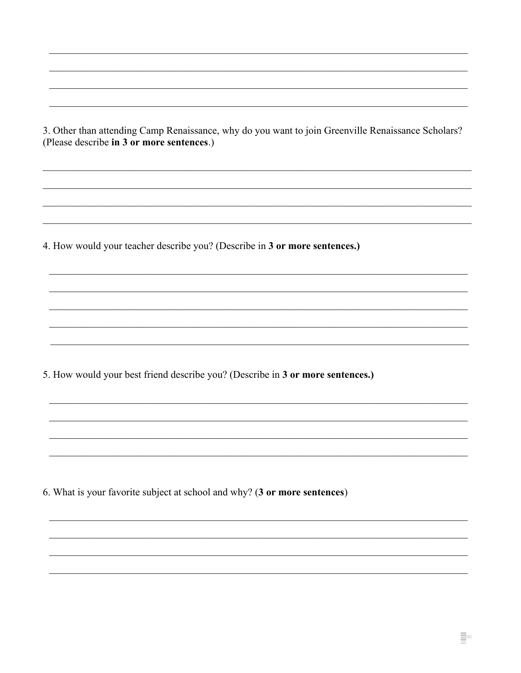3. Other than attending Camp Renaissance, why do you want to join Greenville Renaissance Scholars? (Please describe in 3 or more sentences.)

4. How would your teacher describe you? (Describe in 3 or more sentences.)

5. How would your best friend describe you? (Describe in 3 or more sentences.)

6. What is your favorite subject at school and why? (3 or more sentences)

Ē.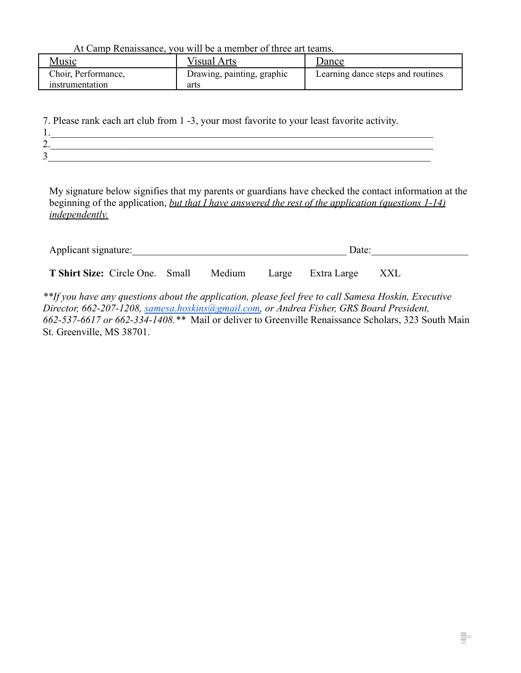At Camp Renaissance, you will be a member of three art teams.

| <u>Music</u>        | Visual Arts                | Dance                             |
|---------------------|----------------------------|-----------------------------------|
| Choir, Performance, | Drawing, painting, graphic | Learning dance steps and routines |
| instrumentation     | arts                       |                                   |

7. Please rank each art club from 1 -3, your most favorite to your least favorite activity.

| . .              |  |  |
|------------------|--|--|
| ⌒<br>∠.          |  |  |
| $\sim$<br>́<br>┘ |  |  |

My signature below signifies that my parents or guardians have checked the contact information at the beginning of the application, *but that I have answered the rest of the application (questions 1-14) independently.*

| Applicant signature:                   |  | Date:  |                   |     |
|----------------------------------------|--|--------|-------------------|-----|
| <b>T Shirt Size:</b> Circle One. Small |  | Medium | Large Extra Large | XXL |

*\*\*If you have any questions about the application, please feel free to call Samesa Hoskin, Executive Director, 662-207-1208, [samesa.hoskins@gmail.com,](mailto:samesa.hoskins@gmail.com) or Andrea Fisher, GRS Board President, 662-537-6617 or 662-334-1408.\*\** Mail or deliver to Greenville Renaissance Scholars, 323 South Main St. Greenville, MS 38701.

Ī.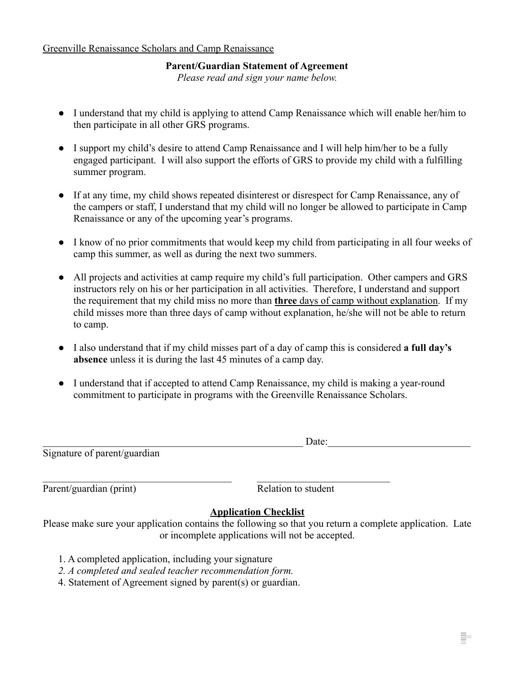### **Parent/Guardian Statement of Agreement**

*Please read and sign your name below.*

- I understand that my child is applying to attend Camp Renaissance which will enable her/him to then participate in all other GRS programs.
- I support my child's desire to attend Camp Renaissance and I will help him/her to be a fully engaged participant. I will also support the efforts of GRS to provide my child with a fulfilling summer program.
- If at any time, my child shows repeated disinterest or disrespect for Camp Renaissance, any of the campers or staff, I understand that my child will no longer be allowed to participate in Camp Renaissance or any of the upcoming year's programs.
- I know of no prior commitments that would keep my child from participating in all four weeks of camp this summer, as well as during the next two summers.
- All projects and activities at camp require my child's full participation. Other campers and GRS instructors rely on his or her participation in all activities. Therefore, I understand and support the requirement that my child miss no more than **three** days of camp without explanation. If my child misses more than three days of camp without explanation, he/she will not be able to return to camp.
- I also understand that if my child misses part of a day of camp this is considered **a full day's absence** unless it is during the last 45 minutes of a camp day.
- I understand that if accepted to attend Camp Renaissance, my child is making a year-round commitment to participate in programs with the Greenville Renaissance Scholars.

| Signature of parent/guardian |  |
|------------------------------|--|

 $\mathcal{L}_\text{max} = \frac{1}{2} \sum_{i=1}^n \mathcal{L}_\text{max}(\mathbf{z}_i - \mathbf{z}_i)$ 

Parent/guardian (print) Relation to student

E.

### **Application Checklist**

Please make sure your application contains the following so that you return a complete application. Late or incomplete applications will not be accepted.

- 1. A completed application, including your signature
- *2. A completed and sealed teacher recommendation form.*
- 4. Statement of Agreement signed by parent(s) or guardian.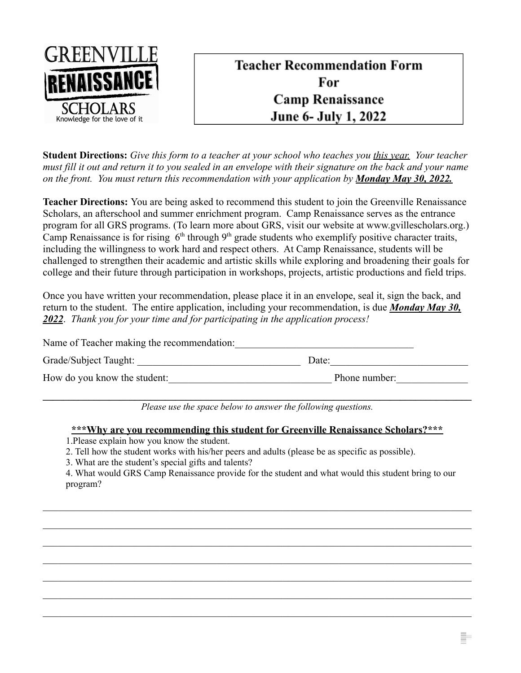

# **Teacher Recommendation Form** For **Camp Renaissance** June 6- July 1, 2022

**Student Directions:** *Give this form to a teacher at your school who teaches you this year. Your teacher must fill it out and return it to you sealed in an envelope with their signature on the back and your name on the front. You must return this recommendation with your application by Monday May 30, 2022.*

**Teacher Directions:** You are being asked to recommend this student to join the Greenville Renaissance Scholars, an afterschool and summer enrichment program. Camp Renaissance serves as the entrance program for all GRS programs. (To learn more about GRS, visit our website at www.gvillescholars.org.) Camp Renaissance is for rising  $6<sup>th</sup>$  through  $9<sup>th</sup>$  grade students who exemplify positive character traits, including the willingness to work hard and respect others. At Camp Renaissance, students will be challenged to strengthen their academic and artistic skills while exploring and broadening their goals for college and their future through participation in workshops, projects, artistic productions and field trips.

Once you have written your recommendation, please place it in an envelope, seal it, sign the back, and return to the student. The entire application, including your recommendation, is due *Monday May 30, 2022*. *Thank you for your time and for participating in the application process!*

| Name of Teacher making the recommendation: |               |  |
|--------------------------------------------|---------------|--|
| Grade/Subject Taught:                      | Date:         |  |
| How do you know the student:               | Phone number: |  |

 $\mathcal{L}_\mathcal{L} = \{ \mathcal{L}_\mathcal{L} = \{ \mathcal{L}_\mathcal{L} = \{ \mathcal{L}_\mathcal{L} = \{ \mathcal{L}_\mathcal{L} = \{ \mathcal{L}_\mathcal{L} = \{ \mathcal{L}_\mathcal{L} = \{ \mathcal{L}_\mathcal{L} = \{ \mathcal{L}_\mathcal{L} = \{ \mathcal{L}_\mathcal{L} = \{ \mathcal{L}_\mathcal{L} = \{ \mathcal{L}_\mathcal{L} = \{ \mathcal{L}_\mathcal{L} = \{ \mathcal{L}_\mathcal{L} = \{ \mathcal{L}_\mathcal{$ *Please use the space below to answer the following questions.*

#### **\*\*\*Why are you recommending this student for Greenville Renaissance Scholars?\*\*\***

- 1.Please explain how you know the student.
- 2. Tell how the student works with his/her peers and adults (please be as specific as possible).
- 3. What are the student's special gifts and talents?

4. What would GRS Camp Renaissance provide for the student and what would this student bring to our program?

 $\_$  , and the contribution of the contribution of the contribution of the contribution of  $\mathcal{L}_\text{max}$ 

 $\_$  , and the contribution of the contribution of the contribution of the contribution of  $\mathcal{L}_\text{max}$ 

 $\_$  , and the contribution of the contribution of the contribution of the contribution of  $\mathcal{L}_\text{max}$ 

 $\mathcal{L}_\text{max} = \frac{1}{2} \sum_{i=1}^n \mathcal{L}_\text{max}(\mathbf{x}_i - \mathbf{y}_i)$ 

 $\_$  , and the contribution of the contribution of the contribution of the contribution of  $\mathcal{L}_\text{max}$ 

 $\_$  , and the contribution of the contribution of the contribution of the contribution of  $\mathcal{L}_\text{max}$ 

 $\_$  , and the contribution of the contribution of the contribution of the contribution of  $\mathcal{L}_\text{max}$